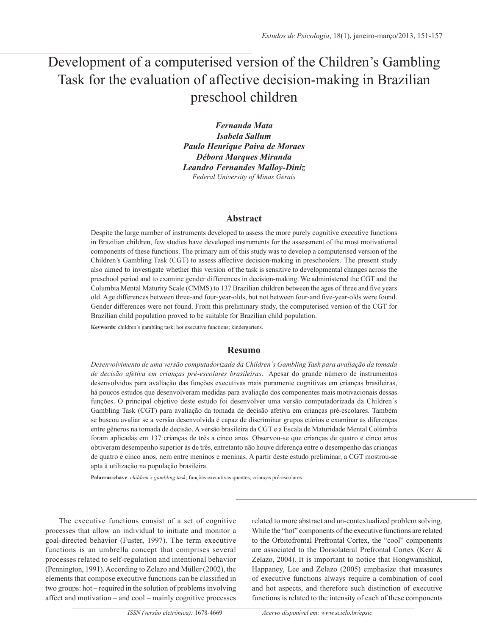# Development of a computerised version of the Children's Gambling Task for the evaluation of affective decision-making in Brazilian preschool children

*Fernanda Mata Isabela Sallum Paulo Henrique Paiva de Moraes Débora Marques Miranda Leandro Fernandes Malloy-Diniz Federal University of Minas Gerais*

# **Abstract**

Despite the large number of instruments developed to assess the more purely cognitive executive functions in Brazilian children, few studies have developed instruments for the assessment of the most motivational components of these functions. The primary aim of this study was to develop a computerised version of the Children's Gambling Task (CGT) to assess affective decision-making in preschoolers. The present study also aimed to investigate whether this version of the task is sensitive to developmental changes across the preschool period and to examine gender differences in decision-making. We administered the CGT and the Columbia Mental Maturity Scale (CMMS) to 137 Brazilian children between the ages of three and five years old. Age differences between three-and four-year-olds, but not between four-and five-year-olds were found. Gender differences were not found. From this preliminary study, the computerised version of the CGT for Brazilian child population proved to be suitable for Brazilian child population.

**Keywords**: children´s gambling task; hot executive functions; kindergartens.

# **Resumo**

*Desenvolvimento de uma versão computadorizada da Children´s Gambling Task para avaliação da tomada de decisão afetiva em crianças pré-escolares brasileiras*. Apesar do grande número de instrumentos desenvolvidos para avaliação das funções executivas mais puramente cognitivas em crianças brasileiras, há poucos estudos que desenvolveram medidas para avaliação dos componentes mais motivacionais dessas funções. O principal objetivo deste estudo foi desenvolver uma versão computadorizada da Children´s Gambling Task (CGT) para avaliação da tomada de decisão afetiva em crianças pré-escolares. Também se buscou avaliar se a versão desenvolvida é capaz de discriminar grupos etários e examinar as diferenças entre gêneros na tomada de decisão. A versão brasileira da CGT e a Escala de Maturidade Mental Colúmbia foram aplicadas em 137 crianças de três a cinco anos. Observou-se que crianças de quatro e cinco anos obtiveram desempenho superior às de três, entretanto não houve diferença entre o desempenho das crianças de quatro e cinco anos, nem entre meninos e meninas. A partir deste estudo preliminar, a CGT mostrou-se apta à utilização na população brasileira.

**Palavras-chave**: *children´s gambling task*; funções executivas quentes; crianças pré-escolares.

The executive functions consist of a set of cognitive processes that allow an individual to initiate and monitor a goal-directed behavior (Fuster, 1997). The term executive functions is an umbrella concept that comprises several processes related to self-regulation and intentional behavior (Pennington, 1991). According to Zelazo and Müller (2002), the elements that compose executive functions can be classified in two groups: hot – required in the solution of problems involving affect and motivation – and cool – mainly cognitive processes related to more abstract and un-contextualized problem solving. While the "hot" components of the executive functions are related to the Orbitofrontal Prefrontal Cortex, the "cool" components are associated to the Dorsolateral Prefrontal Cortex (Kerr & Zelazo, 2004). It is important to notice that Hongwanishkul, Happaney, Lee and Zelazo (2005) emphasize that measures of executive functions always require a combination of cool and hot aspects, and therefore such distinction of executive functions is related to the intensity of each of these components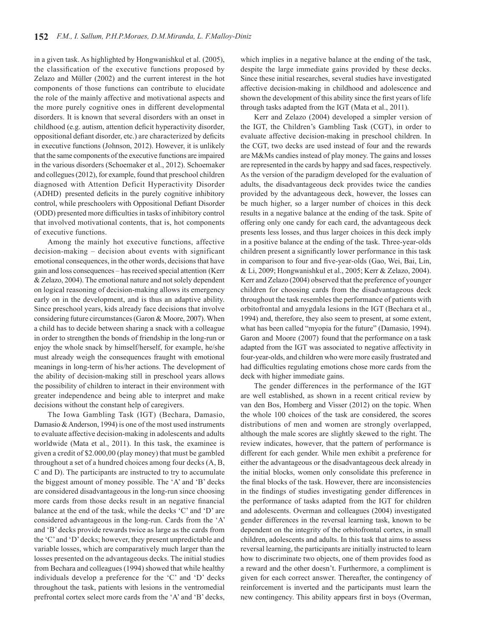in a given task. As highlighted by Hongwanishkul et al. (2005), the classification of the executive functions proposed by Zelazo and Müller (2002) and the current interest in the hot components of those functions can contribute to elucidate the role of the mainly affective and motivational aspects and the more purely cognitive ones in different developmental disorders. It is known that several disorders with an onset in childhood (e.g. autism, attention deficit hyperactivity disorder, oppositional defiant disorder, etc.) are characterized by deficits in executive functions (Johnson, 2012). However, it is unlikely that the same components of the executive functions are impaired in the various disorders (Schoemaker et al., 2012). Schoemaker and collegues (2012), for example, found that preschool children diagnosed with Attention Deficit Hyperactivity Disorder (ADHD) presented deficits in the purely cognitive inhibitory control, while preschoolers with Oppositional Defiant Disorder (ODD) presented more difficulties in tasks of inhibitory control that involved motivational contents, that is, hot components of executive functions.

Among the mainly hot executive functions, affective decision-making – decision about events with significant emotional consequences, in the other words, decisions that have gain and loss consequences – has received special attention (Kerr & Zelazo, 2004). The emotional nature and not solely dependent on logical reasoning of decision-making allows its emergency early on in the development, and is thus an adaptive ability. Since preschool years, kids already face decisions that involve considering future circumstances (Garon & Moore, 2007). When a child has to decide between sharing a snack with a colleague in order to strengthen the bonds of friendship in the long-run or enjoy the whole snack by himself/herself, for example, he/she must already weigh the consequences fraught with emotional meanings in long-term of his/her actions. The development of the ability of decision-making still in preschool years allows the possibility of children to interact in their environment with greater independence and being able to interpret and make decisions without the constant help of caregivers.

The Iowa Gambling Task (IGT) (Bechara, Damasio, Damasio & Anderson, 1994) is one of the most used instruments to evaluate affective decision-making in adolescents and adults worldwide (Mata et al., 2011). In this task, the examinee is given a credit of \$2.000,00 (play money) that must be gambled throughout a set of a hundred choices among four decks (A, B, C and D). The participants are instructed to try to accumulate the biggest amount of money possible. The 'A' and 'B' decks are considered disadvantageous in the long-run since choosing more cards from those decks result in an negative financial balance at the end of the task, while the decks 'C' and 'D' are considered advantageous in the long-run. Cards from the 'A' and 'B' decks provide rewards twice as large as the cards from the 'C' and 'D' decks; however, they present unpredictable and variable losses, which are comparatively much larger than the losses presented on the advantageous decks. The initial studies from Bechara and colleagues (1994) showed that while healthy individuals develop a preference for the 'C' and 'D' decks throughout the task, patients with lesions in the ventromedial prefrontal cortex select more cards from the 'A' and 'B' decks,

which implies in a negative balance at the ending of the task, despite the large immediate gains provided by these decks. Since these initial researches, several studies have investigated affective decision-making in childhood and adolescence and shown the development of this ability since the first years of life through tasks adapted from the IGT (Mata et al., 2011).

Kerr and Zelazo (2004) developed a simpler version of the IGT, the Children's Gambling Task (CGT), in order to evaluate affective decision-making in preschool children. In the CGT, two decks are used instead of four and the rewards are M&Ms candies instead of play money. The gains and losses are represented in the cards by happy and sad faces, respectively. As the version of the paradigm developed for the evaluation of adults, the disadvantageous deck provides twice the candies provided by the advantageous deck, however, the losses can be much higher, so a larger number of choices in this deck results in a negative balance at the ending of the task. Spite of offering only one candy for each card, the advantageous deck presents less losses, and thus larger choices in this deck imply in a positive balance at the ending of the task. Three-year-olds children present a significantly lower performance in this task in comparison to four and five-year-olds (Gao, Wei, Bai, Lin, & Li, 2009; Hongwanishkul et al., 2005; Kerr & Zelazo, 2004). Kerr and Zelazo (2004) observed that the preference of younger children for choosing cards from the disadvantageous deck throughout the task resembles the performance of patients with orbitofrontal and amygdala lesions in the IGT (Bechara et al., 1994) and, therefore, they also seem to present, at some extent, what has been called "myopia for the future" (Damasio, 1994). Garon and Moore (2007) found that the performance on a task adapted from the IGT was associated to negative affectivity in four-year-olds, and children who were more easily frustrated and had difficulties regulating emotions chose more cards from the deck with higher immediate gains.

The gender differences in the performance of the IGT are well established, as shown in a recent critical review by van den Bos, Homberg and Visser (2012) on the topic. When the whole 100 choices of the task are considered, the scores distributions of men and women are strongly overlapped, although the male scores are slightly skewed to the right. The review indicates, however, that the pattern of performance is different for each gender. While men exhibit a preference for either the advantageous or the disadvantageous deck already in the initial blocks, women only consolidate this preference in the final blocks of the task. However, there are inconsistencies in the findings of studies investigating gender differences in the performance of tasks adapted from the IGT for children and adolescents. Overman and colleagues (2004) investigated gender differences in the reversal learning task, known to be dependent on the integrity of the orbitofrontal cortex, in small children, adolescents and adults. In this task that aims to assess reversal learning, the participants are initially instructed to learn how to discriminate two objects, one of them provides food as a reward and the other doesn't. Furthermore, a compliment is given for each correct answer. Thereafter, the contingency of reinforcement is inverted and the participants must learn the new contingency. This ability appears first in boys (Overman,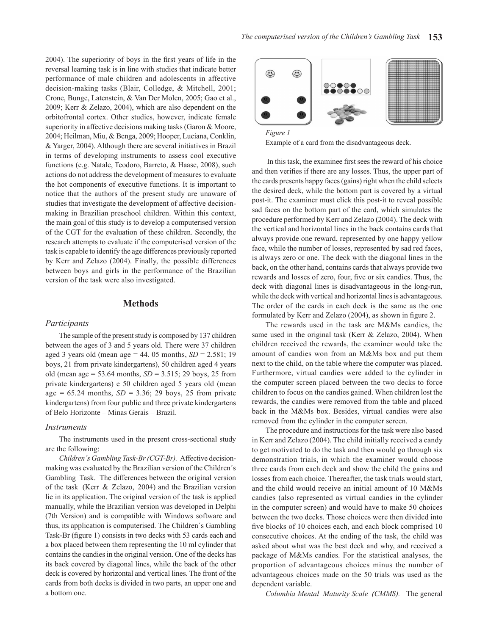2004). The superiority of boys in the first years of life in the reversal learning task is in line with studies that indicate better performance of male children and adolescents in affective decision-making tasks (Blair, Colledge, & Mitchell, 2001; Crone, Bunge, Latenstein, & Van Der Molen, 2005; Gao et al., 2009; Kerr & Zelazo, 2004), which are also dependent on the orbitofrontal cortex. Other studies, however, indicate female superiority in affective decisions making tasks (Garon & Moore, 2004; Heilman, Miu, & Benga, 2009; Hooper, Luciana, Conklin, & Yarger, 2004). Although there are several initiatives in Brazil in terms of developing instruments to assess cool executive functions (e.g. Natale, Teodoro, Barreto, & Haase, 2008), such actions do not address the development of measures to evaluate the hot components of executive functions. It is important to notice that the authors of the present study are unaware of studies that investigate the development of affective decisionmaking in Brazilian preschool children. Within this context, the main goal of this study is to develop a computerised version of the CGT for the evaluation of these children. Secondly, the research attempts to evaluate if the computerised version of the task is capable to identify the age differences previously reported by Kerr and Zelazo (2004). Finally, the possible differences between boys and girls in the performance of the Brazilian version of the task were also investigated.

## **Methods**

#### *Participants*

The sample of the present study is composed by 137 children between the ages of 3 and 5 years old. There were 37 children aged 3 years old (mean age = 44. 05 months, *SD* = 2.581; 19 boys, 21 from private kindergartens), 50 children aged 4 years old (mean age = 53.64 months, *SD* = 3.515; 29 boys, 25 from private kindergartens) e 50 children aged 5 years old (mean age =  $65.24$  months,  $SD = 3.36$ ; 29 boys, 25 from private kindergartens) from four public and three private kindergartens of Belo Horizonte – Minas Gerais – Brazil.

#### *Instruments*

The instruments used in the present cross-sectional study are the following:

*Children´s Gambling Task-Br (CGT-Br).* Affective decisionmaking was evaluated by the Brazilian version of the Children´s Gambling Task. The differences between the original version of the task (Kerr & Zelazo, 2004) and the Brazilian version lie in its application. The original version of the task is applied manually, while the Brazilian version was developed in Delphi (7th Version) and is compatible with Windows software and thus, its application is computerised. The Children´s Gambling Task-Br (figure 1) consists in two decks with 53 cards each and a box placed between them representing the 10 ml cylinder that contains the candies in the original version. One of the decks has its back covered by diagonal lines, while the back of the other deck is covered by horizontal and vertical lines. The front of the cards from both decks is divided in two parts, an upper one and a bottom one.



Example of a card from the disadvantageous deck. Example of a card from the disadvantageous deck.

 In this task, the examinee first sees the reward of his choice and then verifies if there are any losses. Thus, the upper part of the cards presents happy faces (gains) right when the child selects the desired deck, while the bottom part is covered by a virtual post-it. The examiner must click this post-it to reveal possible sad faces on the bottom part of the card, which simulates the procedure performed by Kerr and Zelazo (2004). The deck with the vertical and horizontal lines in the back contains cards that always provide one reward, represented by one happy yellow face, while the number of losses, represented by sad red faces, is always zero or one. The deck with the diagonal lines in the back, on the other hand, contains cards that always provide two rewards and losses of zero, four, five or six candies. Thus, the deck with diagonal lines is disadvantageous in the long-run, while the deck with vertical and horizontal lines is advantageous. The order of the cards in each deck is the same as the one formulated by Kerr and Zelazo (2004), as shown in figure 2.

The rewards used in the task are M&Ms candies, the same used in the original task (Kerr & Zelazo, 2004). When children received the rewards, the examiner would take the amount of candies won from an M&Ms box and put them next to the child, on the table where the computer was placed. Furthermore, virtual candies were added to the cylinder in the computer screen placed between the two decks to force children to focus on the candies gained. When children lost the rewards, the candies were removed from the table and placed back in the M&Ms box. Besides, virtual candies were also removed from the cylinder in the computer screen.

The procedure and instructions for the task were also based in Kerr and Zelazo (2004). The child initially received a candy to get motivated to do the task and then would go through six demonstration trials, in which the examiner would choose three cards from each deck and show the child the gains and losses from each choice. Thereafter, the task trials would start, and the child would receive an initial amount of 10 M&Ms candies (also represented as virtual candies in the cylinder in the computer screen) and would have to make 50 choices between the two decks. Those choices were then divided into five blocks of 10 choices each, and each block comprised 10 consecutive choices. At the ending of the task, the child was asked about what was the best deck and why, and received a package of M&Ms candies. For the statistical analyses, the proportion of advantageous choices minus the number of advantageous choices made on the 50 trials was used as the dependent variable.

*Columbia Mental Maturity Scale (CMMS).* The general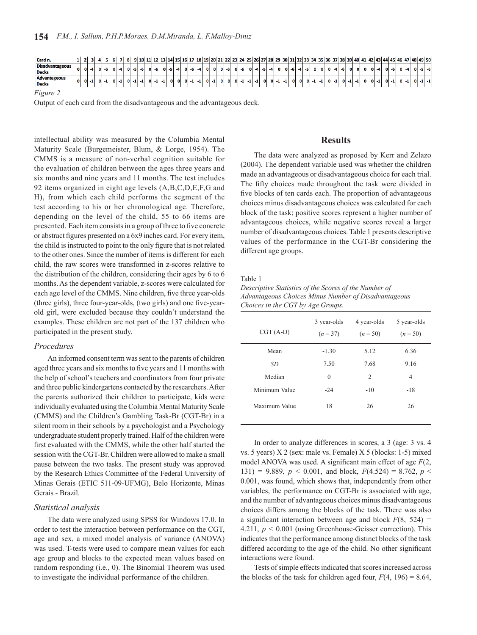| Card n.                |              |  |  |  |  | 9 10 |  | 14 | <b>15</b> | 16 17 | 18 |          | 19   20   21   22 |  | 23. | 24 25 |  | 26   27   28   29   30   31   32   33   1 |    |  |  |  |  |          |  |  |  |  | 34   35   36   37   38   39   40   41   42   43   44   45   46   47   48   49   50 |  |
|------------------------|--------------|--|--|--|--|------|--|----|-----------|-------|----|----------|-------------------|--|-----|-------|--|-------------------------------------------|----|--|--|--|--|----------|--|--|--|--|------------------------------------------------------------------------------------|--|
| <b>Disadvantageous</b> | 01           |  |  |  |  |      |  |    |           |       |    | $\Omega$ |                   |  |     |       |  |                                           | ΩI |  |  |  |  | $\Omega$ |  |  |  |  |                                                                                    |  |
| <b>Decks</b>           |              |  |  |  |  |      |  |    |           |       |    |          |                   |  |     |       |  |                                           |    |  |  |  |  |          |  |  |  |  |                                                                                    |  |
| <b>Advantageous</b>    | $\mathbf{O}$ |  |  |  |  |      |  |    |           |       |    | $\Omega$ |                   |  |     |       |  |                                           |    |  |  |  |  |          |  |  |  |  |                                                                                    |  |
| <b>Decks</b>           |              |  |  |  |  |      |  |    |           |       |    |          |                   |  |     |       |  |                                           |    |  |  |  |  |          |  |  |  |  |                                                                                    |  |

*Figure 2*

Output of each card from the disadvantageous and the advantageous deck.

intellectual ability was measured by the Columbia Mental Maturity Scale (Burgemeister, Blum, & Lorge, 1954). The CMMS is a measure of non-verbal cognition suitable for the evaluation of children between the ages three years and six months and nine years and 11 months. The test includes 92 items organized in eight age levels (A,B,C,D,E,F,G and H), from which each child performs the segment of the test according to his or her chronological age. Therefore, depending on the level of the child, 55 to 66 items are presented. Each item consists in a group of three to five concrete or abstract figures presented on a 6x9 inches card. For every item, the child is instructed to point to the only figure that is not related to the other ones. Since the number of items is different for each child, the raw scores were transformed in z-scores relative to the distribution of the children, considering their ages by 6 to 6 months. As the dependent variable, z-scores were calculated for each age level of the CMMS. Nine children, five three year-olds (three girls), three four-year-olds, (two girls) and one five-yearold girl, were excluded because they couldn't understand the examples. These children are not part of the 137 children who participated in the present study.

### *Procedures*

An informed consent term was sent to the parents of children aged three years and six months to five years and 11 months with the help of school's teachers and coordinators from four private and three public kindergartens contacted by the researchers. After the parents authorized their children to participate, kids were individually evaluated using the Columbia Mental Maturity Scale (CMMS) and the Children's Gambling Task-Br (CGT-Br) in a silent room in their schools by a psychologist and a Psychology undergraduate student properly trained. Half of the children were first evaluated with the CMMS, while the other half started the session with the CGT-Br. Children were allowed to make a small pause between the two tasks. The present study was approved by the Research Ethics Committee of the Federal University of Minas Gerais (ETIC 511-09-UFMG), Belo Horizonte, Minas Gerais - Brazil.

#### *Statistical analysis*

The data were analyzed using SPSS for Windows 17.0. In order to test the interaction between performance on the CGT, age and sex, a mixed model analysis of variance (ANOVA) was used. T-tests were used to compare mean values for each age group and blocks to the expected mean values based on random responding (i.e., 0). The Binomial Theorem was used to investigate the individual performance of the children.

# **Results**

The data were analyzed as proposed by Kerr and Zelazo (2004). The dependent variable used was whether the children made an advantageous or disadvantageous choice for each trial. The fifty choices made throughout the task were divided in five blocks of ten cards each. The proportion of advantageous choices minus disadvantageous choices was calculated for each block of the task; positive scores represent a higher number of advantageous choices, while negative scores reveal a larger number of disadvantageous choices. Table 1 presents descriptive values of the performance in the CGT-Br considering the different age groups.

#### Table 1

*Descriptive Statistics of the Scores of the Number of Advantageous Choices Minus Number of Disadvantageous Choices in the CGT by Age Groups.*

| $CGT(A-D)$    | 3 year-olds<br>$(n=37)$ | 4 year-olds<br>$(n = 50)$ | 5 year-olds<br>$(n = 50)$ |
|---------------|-------------------------|---------------------------|---------------------------|
| Mean          | $-1.30$                 | 5.12                      | 6.36                      |
| SD            | 7.50                    | 7.68                      | 9.16                      |
| Median        | $\theta$                | $\overline{2}$            | $\overline{4}$            |
| Minimum Value | $-24$                   | $-10$                     | $-18$                     |
| Maximum Value | 18                      | 26                        | 26                        |

In order to analyze differences in scores, a 3 (age: 3 vs. 4 vs. 5 years) X 2 (sex: male vs. Female) X 5 (blocks: 1-5) mixed model ANOVA was used. A significant main effect of age *F*(2, 131) = 9.889,  $p < 0.001$ , and block,  $F(4.524) = 8.762$ ,  $p <$ 0.001, was found, which shows that, independently from other variables, the performance on CGT-Br is associated with age, and the number of advantageous choices minus disadvantageous choices differs among the blocks of the task. There was also a significant interaction between age and block  $F(8, 524) =$ 4.211, *p* < 0.001 (using Greenhouse-Geisser correction). This indicates that the performance among distinct blocks of the task differed according to the age of the child. No other significant interactions were found.

Tests of simple effects indicated that scores increased across the blocks of the task for children aged four,  $F(4, 196) = 8.64$ ,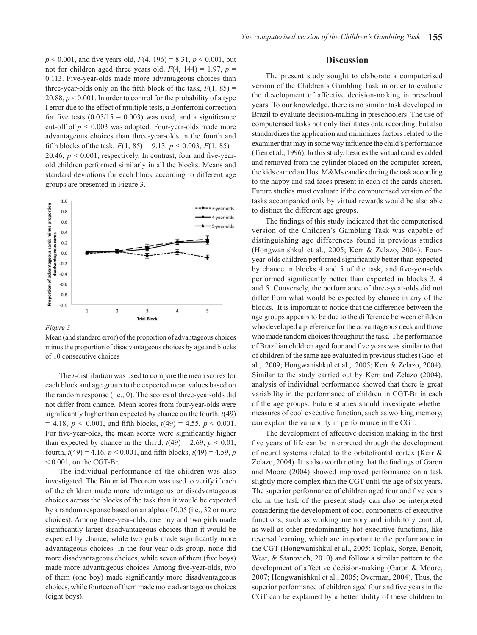$p < 0.001$ , and five years old,  $F(4, 196) = 8.31$ ,  $p < 0.001$ , but not for children aged three years old,  $F(4, 144) = 1.97$ ,  $p =$ 0.113. Five-year-olds made more advantageous choices than three-year-olds only on the fifth block of the task,  $F(1, 85)$  = 20.88,  $p < 0.001$ . In order to control for the probability of a type I error due to the effect of multiple tests, a Bonferroni correction for five tests  $(0.05/15 = 0.003)$  was used, and a significance cut-off of *p* < 0.003 was adopted. Four-year-olds made more advantageous choices than three-year-olds in the fourth and fifth blocks of the task,  $F(1, 85) = 9.13$ ,  $p < 0.003$ ,  $F(1, 85) =$ 20.46,  $p < 0.001$ , respectively. In contrast, four and five-yearold children performed similarly in all the blocks. Means and standard deviations for each block according to different age groups are presented in Figure 3.



*Figure 3*

*Figure 3* minus the proportion of disadvantageous choices by age and blocks of 10 consecutive choices. Mean (and standard error) of the proportion of advantageous choices

The *t*-distribution was used to compare the mean scores for each block and age group to the expected mean values based on the random response (i.e., 0). The scores of three-year-olds did not differ from chance. Mean scores from four-year-olds were significantly higher than expected by chance on the fourth, *t*(49)  $= 4.18, p < 0.001,$  and fifth blocks,  $t(49) = 4.55, p < 0.001$ . For five-year-olds, the mean scores were significantly higher than expected by chance in the third,  $t(49) = 2.69$ ,  $p < 0.01$ , fourth,  $t(49) = 4.16$ ,  $p < 0.001$ , and fifth blocks,  $t(49) = 4.59$ , *p*  $< 0.001$ , on the CGT-Br.

The individual performance of the children was also investigated. The Binomial Theorem was used to verify if each of the children made more advantageous or disadvantageous choices across the blocks of the task than it would be expected by a random response based on an alpha of 0.05 (i.e., 32 or more choices). Among three-year-olds, one boy and two girls made significantly larger disadvantageous choices than it would be expected by chance, while two girls made significantly more advantageous choices. In the four-year-olds group, none did more disadvantageous choices, while seven of them (five boys) made more advantageous choices. Among five-year-olds, two of them (one boy) made significantly more disadvantageous choices, while fourteen of them made more advantageous choices (eight boys).

## **Discussion**

The present study sought to elaborate a computerised version of the Children´s Gambling Task in order to evaluate the development of affective decision-making in preschool years. To our knowledge, there is no similar task developed in Brazil to evaluate decision-making in preschoolers. The use of computerised tasks not only facilitates data recording, but also standardizes the application and minimizes factors related to the examiner that may in some way influence the child's performance (Tien et al., 1996). In this study, besides the virtual candies added and removed from the cylinder placed on the computer screen, the kids earned and lost M&Ms candies during the task according to the happy and sad faces present in each of the cards chosen. Future studies must evaluate if the computerised version of the tasks accompanied only by virtual rewards would be also able to distinct the different age groups.

The findings of this study indicated that the computerised version of the Children's Gambling Task was capable of distinguishing age differences found in previous studies (Hongwanishkul et al., 2005; Kerr & Zelazo, 2004). Fouryear-olds children performed significantly better than expected by chance in blocks 4 and 5 of the task, and five-year-olds performed significantly better than expected in blocks 3, 4 and 5. Conversely, the performance of three-year-olds did not differ from what would be expected by chance in any of the blocks. It is important to notice that the difference between the age groups appears to be due to the difference between children who developed a preference for the advantageous deck and those who made random choices throughout the task. The performance of Brazilian children aged four and five years was similar to that of children of the same age evaluated in previous studies (Gao et al., 2009; Hongwanishkul et al., 2005; Kerr & Zelazo, 2004). Similar to the study carried out by Kerr and Zelazo (2004), analysis of individual performance showed that there is great variability in the performance of children in CGT-Br in each of the age groups. Future studies should investigate whether measures of cool executive function, such as working memory, can explain the variability in performance in the CGT.

The development of affective decision making in the first five years of life can be interpreted through the development of neural systems related to the orbitofrontal cortex (Kerr & Zelazo, 2004). It is also worth noting that the findings of Garon and Moore (2004) showed improved performance on a task slightly more complex than the CGT until the age of six years. The superior performance of children aged four and five years old in the task of the present study can also be interpreted considering the development of cool components of executive functions, such as working memory and inhibitory control, as well as other predominantly hot executive functions, like reversal learning, which are important to the performance in the CGT (Hongwanishkul et al., 2005; Toplak, Sorge, Benoit, West, & Stanovich, 2010) and follow a similar pattern to the development of affective decision-making (Garon & Moore, 2007; Hongwanishkul et al., 2005; Overman, 2004). Thus, the superior performance of children aged four and five years in the CGT can be explained by a better ability of these children to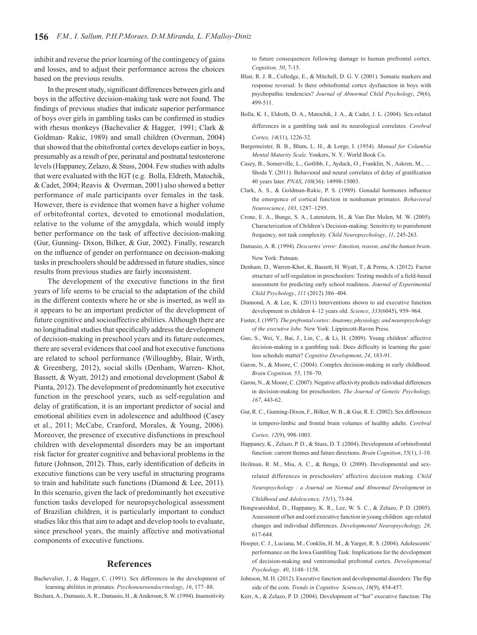inhibit and reverse the prior learning of the contingency of gains and losses, and to adjust their performance across the choices based on the previous results.

In the present study, significant differences between girls and boys in the affective decision-making task were not found. The findings of previous studies that indicate superior performance of boys over girls in gambling tasks can be confirmed in studies with rhesus monkeys (Bachevalier & Hagger, 1991; Clark & Goldman- Rakic, 1989) and small children (Overman, 2004) that showed that the obitofrontal cortex develops earlier in boys, presumably as a result of pre, perinatal and postnatal testosterone levels (Happaney, Zelazo, & Stuss, 2004. Few studies with adults that were evaluated with the IGT (e.g. Bolla, Eldreth, Matochik, & Cadet, 2004; Reavis & Overman, 2001) also showed a better performance of male participants over females in the task. However, there is evidence that women have a higher volume of orbitofrontal cortex, devoted to emotional modulation, relative to the volume of the amygdala, which would imply better performance on the task of affective decision-making (Gur, Gunning- Dixon, Bilker, & Gur, 2002). Finally, research on the influence of gender on performance on decision-making tasks in preschoolers should be addressed in future studies, since results from previous studies are fairly inconsistent.

The development of the executive functions in the first years of life seems to be crucial to the adaptation of the child in the different contexts where he or she is inserted, as well as it appears to be an important predictor of the development of future cognitive and socioaffective abilities. Although there are no longitudinal studies that specifically address the development of decision-making in preschool years and its future outcomes, there are several evidences that cool and hot executive functions are related to school performance (Willoughby, Blair, Wirth, & Greenberg, 2012), social skills (Denham, Warren- Khot, Bassett, & Wyatt, 2012) and emotional development (Sabol & Pianta, 2012). The development of predominantly hot executive function in the preschool years, such as self-regulation and delay of gratification, it is an important predictor of social and emotional abilities even in adolescence and adulthood (Casey et al., 2011; McCabe, Cranford, Morales, & Young, 2006). Moreover, the presence of executive disfunctions in preschool children with developmental disorders may be an important risk factor for greater cognitive and behavioral problems in the future (Johnson, 2012). Thus, early identification of deficits in executive functions can be very useful in structuring programs to train and habilitate such functions (Diamond & Lee, 2011). In this scenario, given the lack of predominantly hot executive function tasks developed for neuropsychological assessment of Brazilian children, it is particularly important to conduct studies like this that aim to adapt and develop tools to evaluate, since preschool years, the mainly affective and motivational components of executive functions.

# **References**

Bachevalier, J., & Hagger, C. (1991). Sex differences in the development of learning abilities in primates. *Psychoneuroendocrinology*, *16*, 177–88. Bechara, A., Damasio, A. R., Damasio, H., & Anderson, S. W. (1994). Insensitivity

to future consequences following damage to human prefrontal cortex. *Cognition, 50*, 7-15.

- Blair, R. J. R., Colledge, E., & Mitchell, D. G. V. (2001). Somatic markers and response reversal: Is there orbitofrontal cortex dysfunction in boys with psychopathic tendencies? *Journal of Abnormal Child Psychology*, *29*(6), 499-511.
- Bolla, K. I., Eldreth, D. A., Matochik, J. A., & Cadet, J. L. (2004). Sex-related differences in a gambling task and its neurological correlates. *Cerebral Cortex, 14*(11), 1226-32.
- Burgemeister, B. B., Blum, L. H., & Lorge, I. (1954). *Manual for Columbia Mental Maturity Scale*. Yonkers, N. Y.: World Book Co.
- Casey, B., Somerville, L., Gotlibb, I., Ayduck, O., Franklin, N., Askren, M., … Shoda Y. (2011). Behavioral and neural correlates of delay of gratification 40 years later. *PNAS*, *108*(36): 14998-15003.
- Clark, A. S., & Goldman-Rakic, P. S. (1989). Gonadal hormones influence the emergence of cortical function in nonhuman primates. *Behavioral Neuroscience*, *103*, 1287–1295.
- Crone, E. A., Bunge, S. A., Latenstein, H., & Van Der Molen, M. W. (2005). Characterization of Children's Decision-making: Sensitivity to punishment frequency, not task complexity. *Child Neuropsychology*, *11*, 245-263.
- Damasio, A. R. (1994). *Descartes' error: Emotion, reason, and the human brain*. New York: Putnam.
- Denham, D., Warren-Khot, K. Bassett, H. Wyatt, T., & Perna, A. (2012). Factor structure of self-regulation in preschoolers: Testing models of a field-based assessment for predicting early school readiness. *Journal of Experimental Child Psychology*, *111* (2012) 386–404.
- Diamond, A. & Lee, K. (2011) Interventions shown to aid executive function development in children 4–12 years old. *Science*, *333*(6045), 959–964.
- Fuster, J. (1997). *The prefrontal cortex: Anatomy, physiology, and neuropsychology of the executive lobe*. New York: Lippincott-Raven Press.
- Gao, S., Wei, Y., Bai, J., Lin, C., & Li, H. (2009). Young children' affective decision-making in a gambling task: Does difficulty in learning the gain/ loss schedule matter? *Cognitive Development*, *24*, 183-91.
- Garon, N., & Moore, C. (2004). Complex decision-making in early childhood. *Brain Cognition, 55*, 158–70.
- Garon, N., & Moore, C. (2007). Negative affectivity predicts individual differences in decision-making for preschoolers. *The Journal of Genetic Psychology, 167*, 443-62.
- Gur, R. C., Gunning-Dixon, F., Bilker, W. B., & Gur, R. E. (2002). Sex differences in temporo-limbic and frontal brain volumes of healthy adults. *Cerebral Cortex, 12*(9), 998-1003.
- Happaney, K., Zelazo, P. D., & Stuss, D. T. (2004). Development of orbitofrontal function: current themes and future directions. *Brain Cognition*, *55*(1), 1-10.
- Heilman, R. M., Miu, A. C., & Benga, O. (2009). Developmental and sexrelated differences in preschoolers' affective decision making. *Child Neuropsychology : a Journal on Normal and Abnormal Development in Childhood and Adolescence, 15(*1), 73-84.
- Hongwanishkul, D., Happaney, K. R., Lee, W. S. C., & Zelazo, P. D. (2005). Assessment of hot and cool executive function in young children: age-related changes and individual differences. *Developmental Neuropsychology, 28*, 617-644.
- Hooper, C. J., Luciana, M., Conklin, H. M., & Yarger, R. S. (2004). Adolescents' performance on the Iowa Gambling Task: Implications for the development of decision-making and ventromedial prefrontal cortex. *Developmental Psychology*. *40*, 1148–1158.
- Johnson, M. H. (2012). Executive function and developmental disorders: The flip side of the coin. *Trends in Cognitive Sciences*, *16*(9), 454-457.
- Kerr, A., & Zelazo, P. D. (2004). Development of "hot" executive function: The